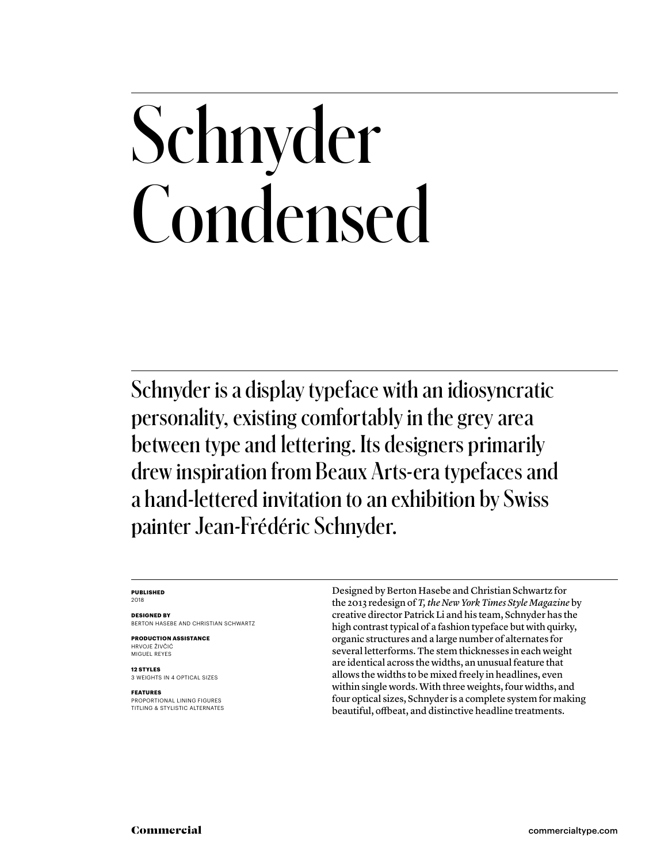# Schnyder Condensed

Schnyder is a display typeface with an idiosyncratic personality, existing comfortably in the grey area between type and lettering. Its designers primarily drew inspiration from Beaux Arts-era typefaces and a hand-lettered invitation to an exhibition by Swiss painter Jean-Frédéric Schnyder.

#### **PUBLISHED** 2018

**DESIGNED BY**

BERTON HASEBE AND CHRISTIAN SCHWARTZ

**PRODUCTION ASSISTANCE** HRVOJE ŽIVČIĆ MIGUEL REYES

**12 STYLES** 3 WEIGHTS IN 4 OPTICAL SIZES

#### **FEATURES**

PROPORTIONAL LINING FIGURES TITLING & STYLISTIC ALTERNATES Designed by Berton Hasebe and Christian Schwartz for the 2013 redesign of *T, the New York Times Style Magazine* by creative director Patrick Li and his team, Schnyder has the high contrast typical of a fashion typeface but with quirky, organic structures and a large number of alternates for several letterforms. The stem thicknesses in each weight are identical across the widths, an unusual feature that allows the widths to be mixed freely in headlines, even within single words. With three weights, four widths, and four optical sizes, Schnyder is a complete system for making beautiful, offbeat, and distinctive headline treatments.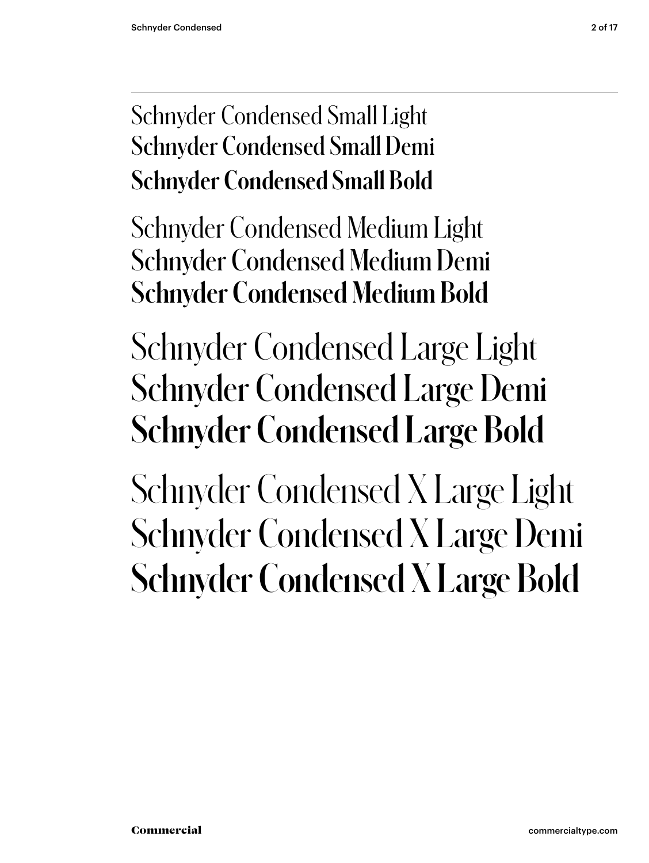### Schnyder Condensed Small Light Schnyder Condensed Small Demi **Schnyder Condensed Small Bold**

Schnyder Condensed Medium Light Schnyder Condensed Medium Demi **Schnyder Condensed Medium Bold**

### Schnyder Condensed Large Light Schnyder Condensed Large Demi **Schnyder Condensed Large Bold**

Schnyder Condensed X Large Light Schnyder Condensed X Large Demi **Schnyder Condensed X Large Bold**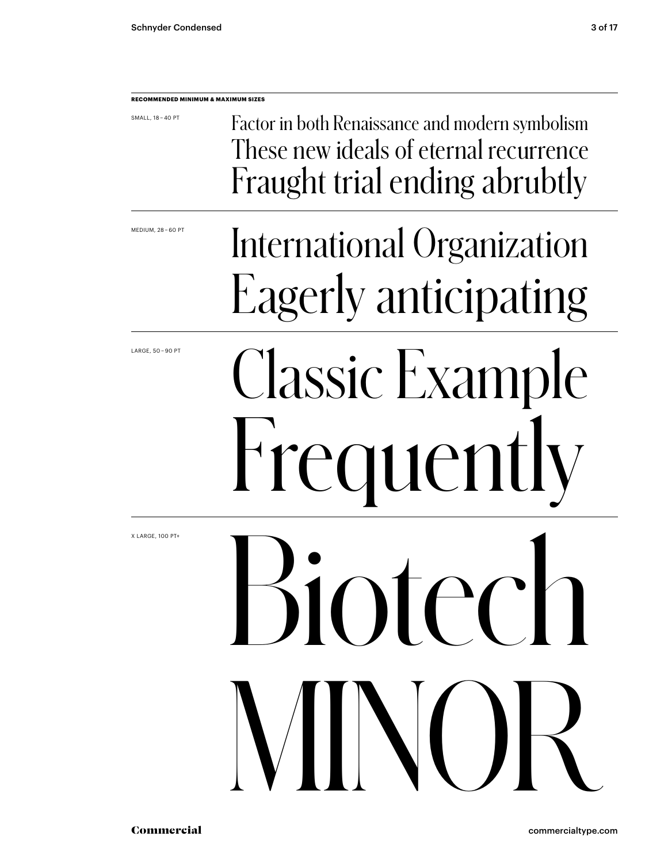### **RECOMMENDED MINIMUM & MAXIMUM SIZES** Classic Example Frequent SMALL, 18 – 40 PT MEDIUM, 28 – 60 PT LARGE, 50 – 90 PT Factor in both Renaissance and modern symbolism These new ideals of eternal recurrence Fraught trial ending abrubtly Inferi MINOR International Organization Eagerly anticipating

X LARGE, 100 PT+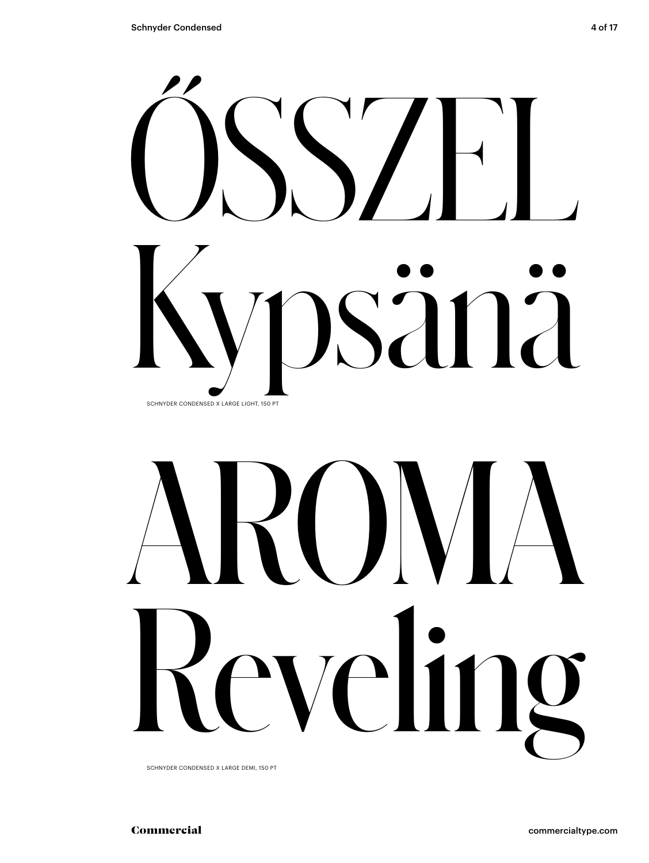

# RUNA  $\begin{bmatrix} 1 \\ 1 \end{bmatrix}$  $\blacksquare$

SCHNYDER CONDENSED X LARGE DEMI, 150 PT

commercialtype.com

Commercial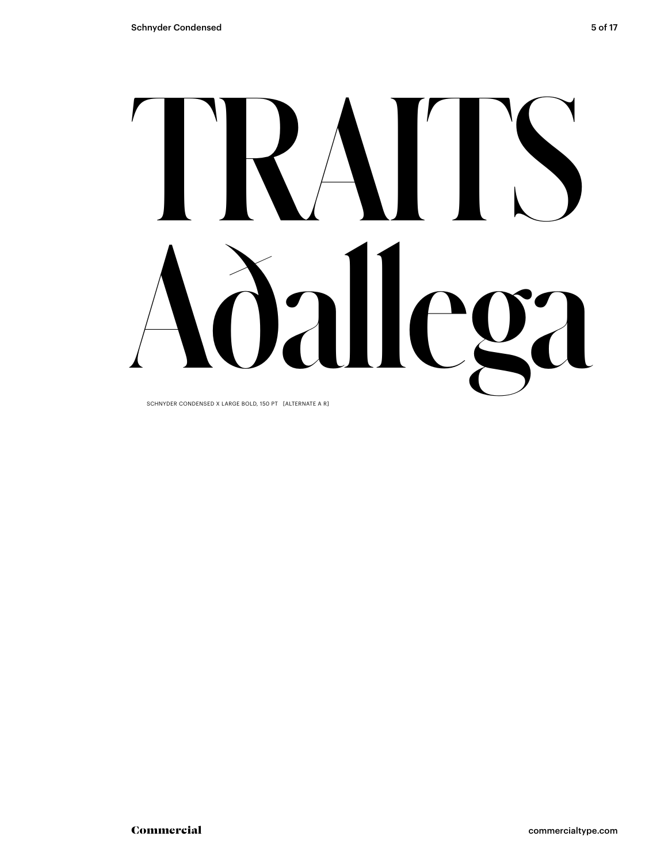## RAIN alle  $\sum_{i}$

SCHNYDER CONDENSED X LARGE BOLD, 150 PT [ALTERNATE A R]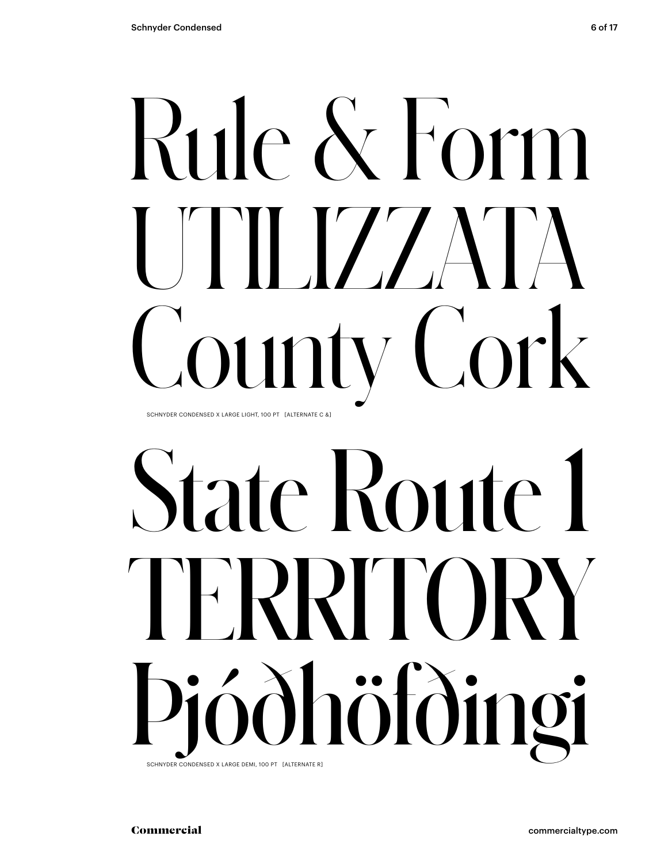# Rule & Form  $\blacksquare$ ounty Cork SCHNYDER CONDENSED X LARGE LIGHT, 100 PT [ALTERNATE C &]

# State Route 1 TERRITORY Þjóðhöfðingi SCHNYDER CONDENSED X LARGE DEMI, 100 PT [ALTERNATE R]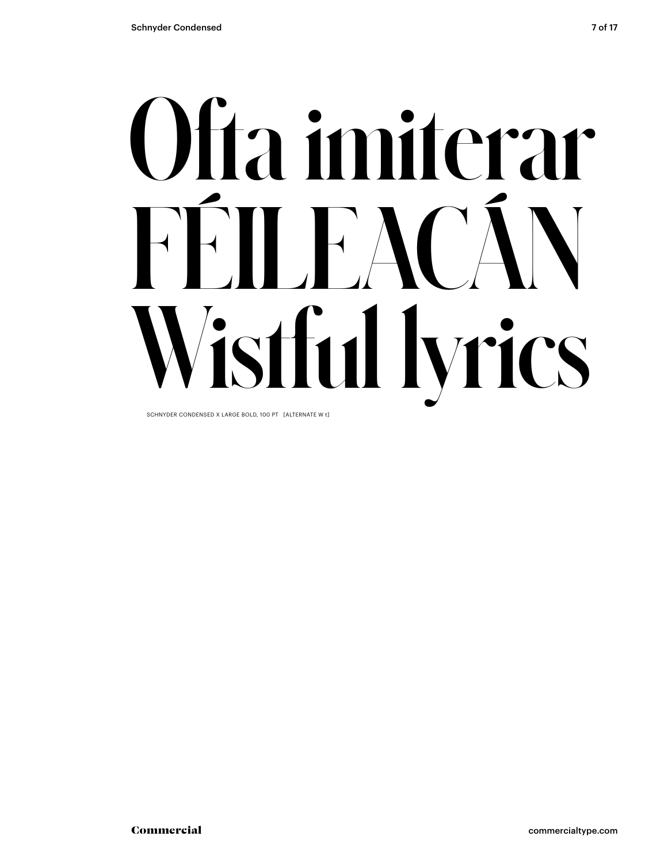# Ofta imiterar FFILEAC/ istful lyrics

SCHNYDER CONDENSED X LARGE BOLD, 100 PT [ALTERNATE W t]

Commercial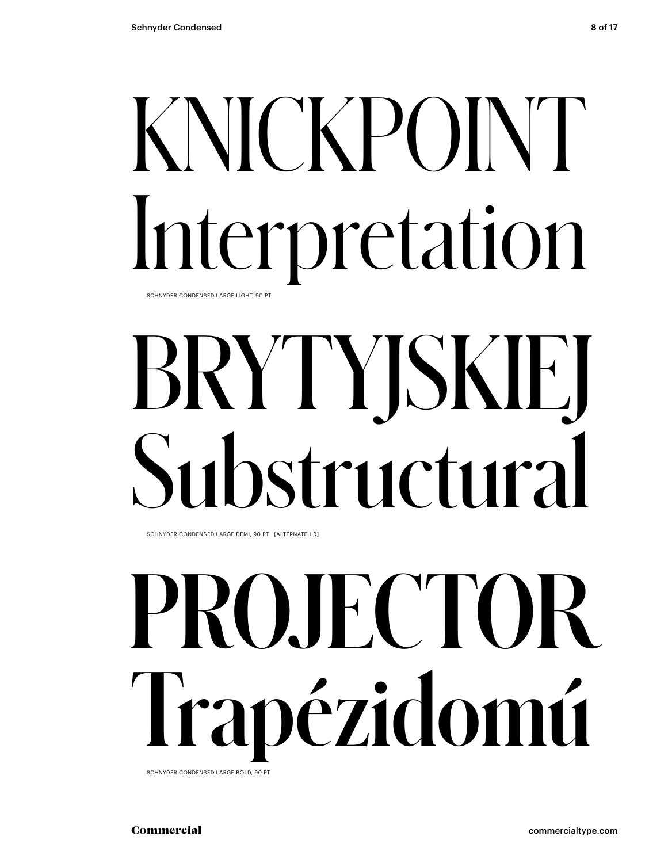## KNICKPOINT Interpretation SCHNYDER CONDENSED LARGE LIGHT, 90 PT

# BRYTYJSKIEJ Substructural

SCHNYDER CONDENSED LARGE DEMI, 90 PT [ALTERNATE J R]

# PROJECTOR Trapézidomú

SCHNYDER CONDENSED LARGE BOLD, 90 PT

Commercial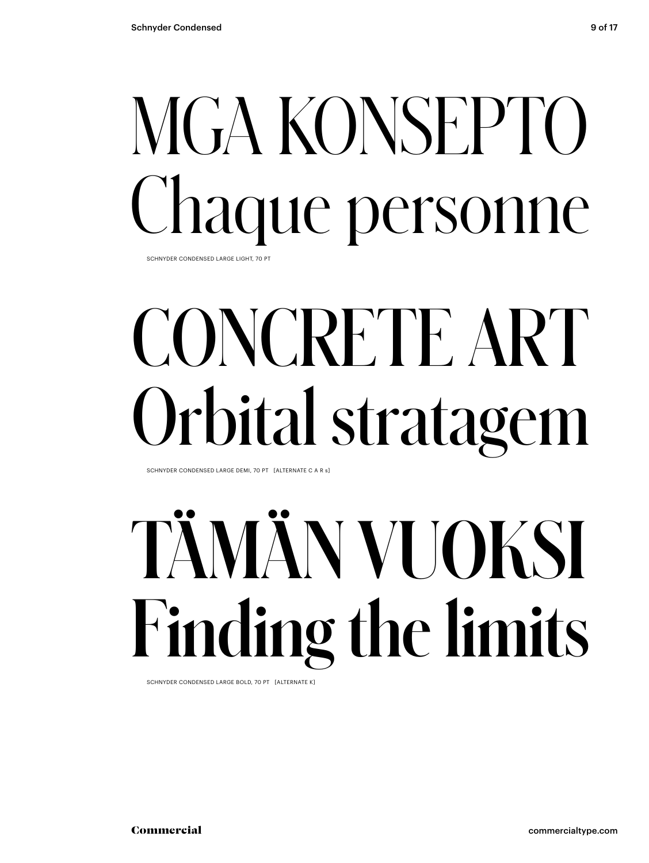### MGA KONSEPTO Chaque personne SCHNYDER CONDENSED LARGE LIGHT, 70 PT

# CONCRETE ART Orbital stratagem

SCHNYDER CONDENSED LARGE DEMI, 70 PT [ALTERNATE C A R s]

# **TÄMÄN VUOKSI Finding the limits**

SCHNYDER CONDENSED LARGE BOLD, 70 PT [ALTERNATE K]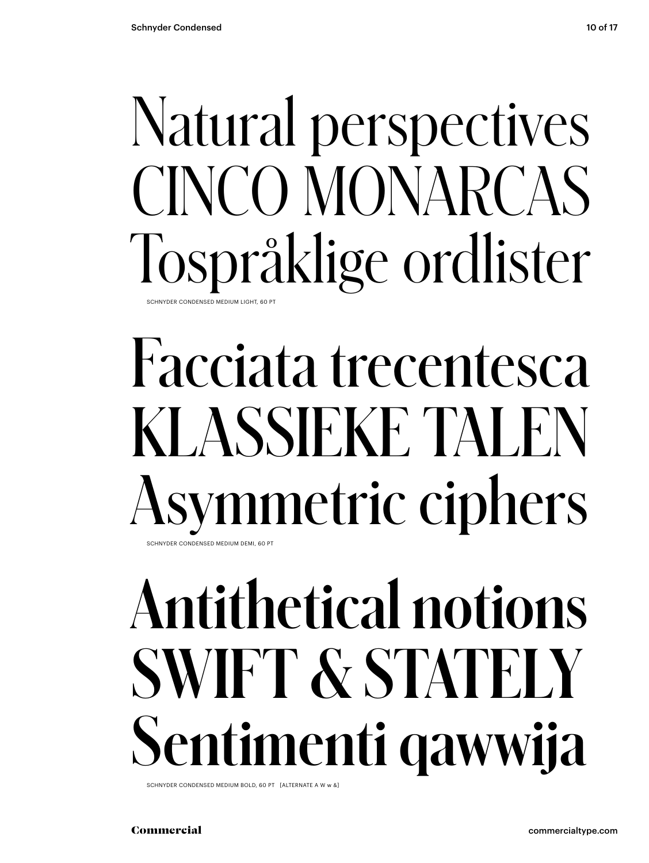### Natural perspectives CINCO MONARCAS Tospråklige ordlister SCHNYDER CONDENSED MEDIUM LIGHT, 60 PT

### Facciata trecentesca KLASSIEKE TALEN Asymmetric ciphers SCHNYDER CONDENSED MEDIUM DEMI, 60 PT

**Antithetical notions SWIFT & STATELY Sentimenti qawwija**

SCHNYDER CONDENSED MEDIUM BOLD, 60 PT [ALTERNATE A W w &]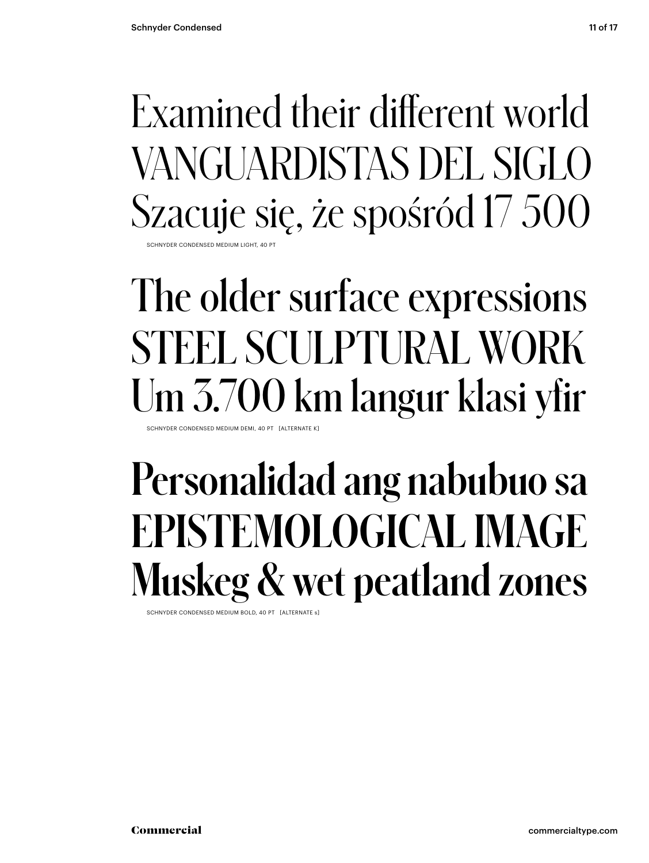Examined their different world VANGUARDISTAS DEL SIGLO Szacuje się, że spośród 17 500 SCHNYDER CONDENSED MEDIUM LIGHT, 40

### The older surface expressions STEEL SCULPTURAL WORK Um 3.700 km langur klasi yfir

SCHNYDER CONDENSED MEDIUM DEMI, 40 PT [ALTERNATE K]

### **Personalidad ang nabubuo sa EPISTEMOLOGICAL IMAGE Muskeg & wet peatland zones**

SCHNYDER CONDENSED MEDIUM BOLD, 40 PT [ALTERNATE s]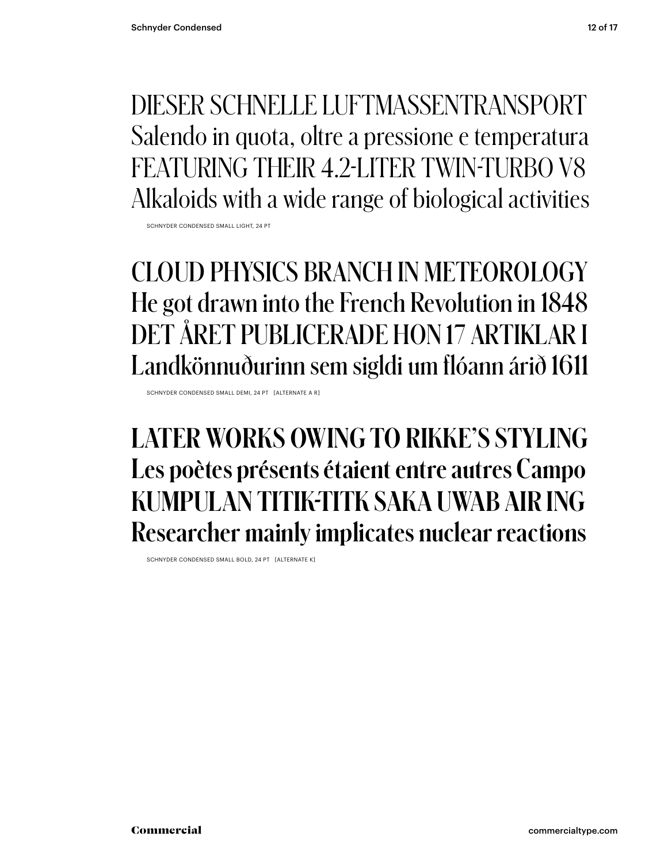DIESER SCHNELLE LUFTMASSENTRANSPORT Salendo in quota, oltre a pressione e temperatura FEATURING THEIR 4.2-LITER TWIN-TURBO V8 Alkaloids with a wide range of biological activities

SCHNYDER CONDENSED SMALL LIGHT, 24 PT

### CLOUD PHYSICS BRANCH IN METEOROLOGY He got drawn into the French Revolution in 1848 DET ÅRET PUBLICERADE HON 17 ARTIKLAR I Landkönnuðurinn sem sigldi um flóann árið 1611

SCHNYDER CONDENSED SMALL DEMI, 24 PT [ALTERNATE A R]

#### **LATER WORKS OWING TO RIKKE'S STYLING Les poètes présents étaient entre autres Campo KUMPULAN TITIK-TITK SAKA UWAB AIR ING Researcher mainly implicates nuclear reactions**

SCHNYDER CONDENSED SMALL BOLD, 24 PT [ALTERNATE K]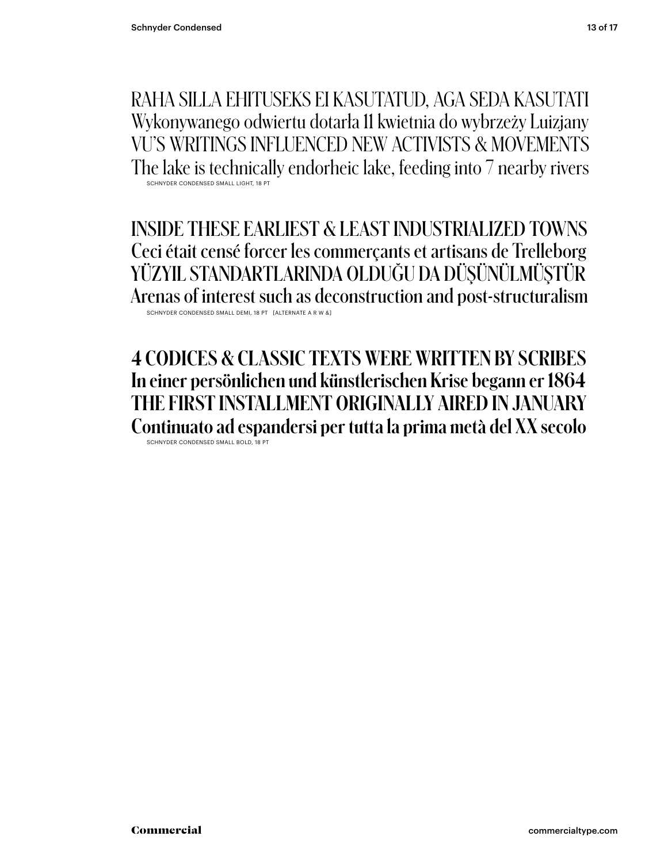RAHA SILLA EHITUSEKS EI KASUTATUD, AGA SEDA KASUTATI Wykonywanego odwiertu dotarła 11 kwietnia do wybrzeży Luizjany VU'S WRITINGS INFLUENCED NEW ACTIVISTS & MOVEMENTS The lake is technically endorheic lake, feeding into 7 nearby rivers SCHNYDER CONDENSED SMALL LIGHT, 18 PT

INSIDE THESE EARLIEST & LEAST INDUSTRIALIZED TOWNS Ceci était censé forcer les commerçants et artisans de Trelleborg YÜZYIL STANDARTLARINDA OLDUĞU DA DÜŞÜNÜLMÜŞTÜR Arenas of interest such as deconstruction and post-structuralism SCHNYDER CONDENSED SMALL DEMI, 18 PT [ALTERNATE A R W &

**4 CODICES & CLASSIC TEXTS WERE WRITTEN BY SCRIBES In einer persönlichen und künstlerischen Krise begann er 1864 THE FIRST INSTALLMENT ORIGINALLY AIRED IN JANUARY Continuato ad espandersi per tutta la prima metà del XX secolo** SCHNYDER CONDENSED SMALL BOLD, 18 PT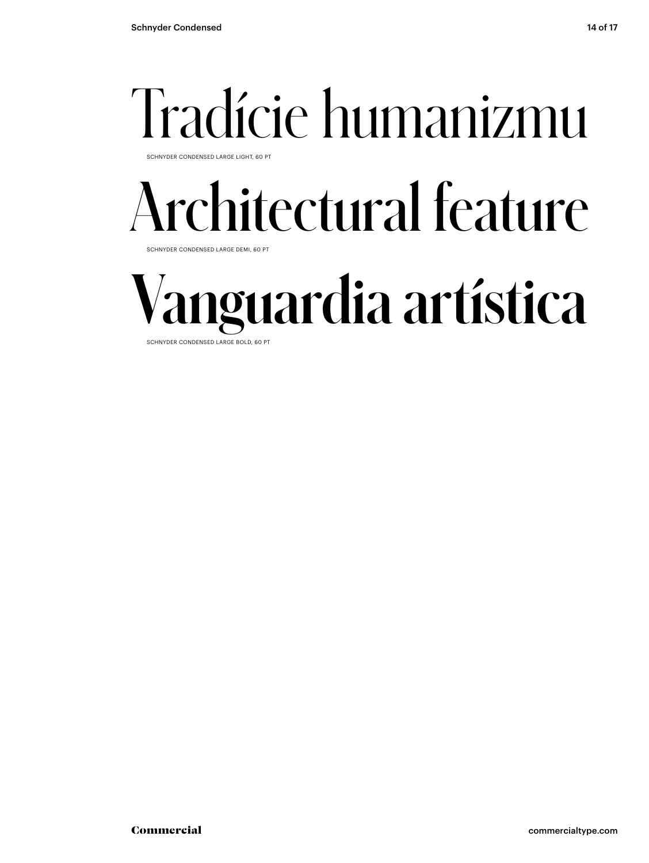# Tradície humanizmu

SCHNYDER CONDENSED LARGE LIGHT, 60 PT

## Architectural feature

SCHNYDER CONDENSED LARGE DEMI, 60 PT

## **Vanguardia artística**

SCHNYDER CONDENSED LARGE BOLD, 60 PT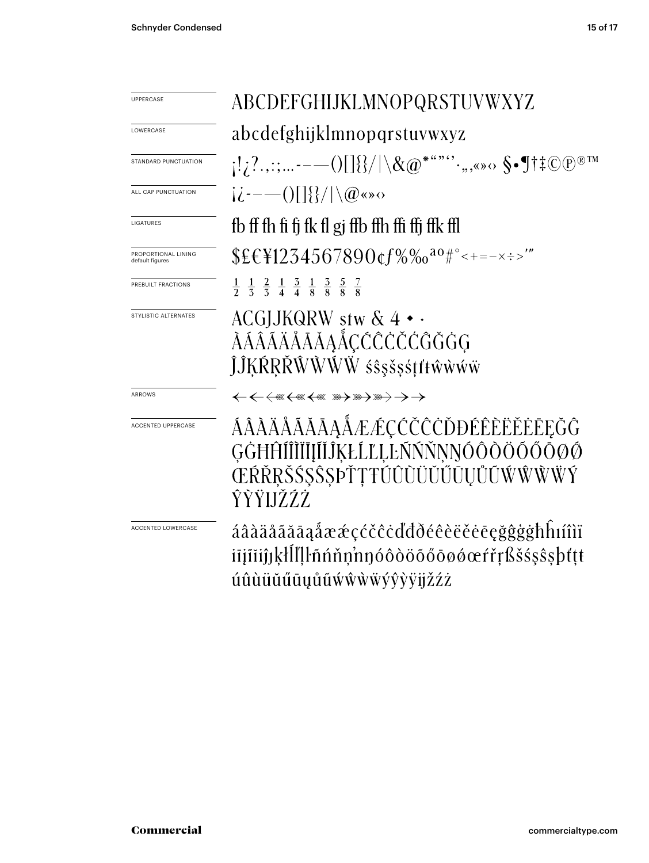| <b>UPPERCASE</b>                       | ABCDEFGHIJKLMNOPQRSTUVWXYZ                                                                                                    |  |  |
|----------------------------------------|-------------------------------------------------------------------------------------------------------------------------------|--|--|
| LOWERCASE                              | abcdefghijklmnopqrstuvwxyz                                                                                                    |  |  |
| STANDARD PUNCTUATION                   | $[1,2;---()[\frac{1}{8}]/\chi_{\mathcal{Q}}$ *"" $\cdot,$ ,<» $\circ$ §•¶†‡ $\mathbb{C}$ $\mathbb{P}$ ®™                      |  |  |
| ALL CAP PUNCTUATION                    | $i\dot{\ell}$ ---()[]{}/ \@«»0                                                                                                |  |  |
| LIGATURES                              | fb ff fh fi fj fk fl gj ffb ffh ffi ffj ffk ffl                                                                               |  |  |
| PROPORTIONAL LINING<br>default figures |                                                                                                                               |  |  |
| PREBUILT FRACTIONS                     | $\frac{1}{2}$ $\frac{1}{5}$ $\frac{2}{5}$ $\frac{1}{4}$ $\frac{3}{4}$ $\frac{1}{8}$ $\frac{3}{8}$ $\frac{5}{8}$ $\frac{7}{8}$ |  |  |
| STYLISTIC ALTERNATES                   | ACGJJKQRW stw $\& 4 \cdot \cdot$<br>ÀÁÂĂÄÅĂĂĂĄÅÇĆĈĊČĆĜĞĠG<br>ĴĴĶŔŖŘŴŴŴŴśŝşšşśţťŧŵŵŵŵ                                          |  |  |
| ARROWS                                 | <b>←←←</b> ⊯←₩←₩₩₩₩₩₩₩₩₩ <del>)</del>                                                                                         |  |  |
| ACCENTED UPPERCASE                     | ÁÂÀĂÅĂĂĂĀĄÅÆÆÇČČČŎĐÉÊÈĔĔĖĒĘĞĜ<br>GĠĦĤĨĨĨĬĨĬĨĬĨŔŁĹĽĻĿŇŇŇŅŊÓÔŎŎŐŐŌØŐ<br>ŒŔŘŖŠŚŞŜŞÞŤŢŦÚÛÙŬŬŰŪŲŮŨŴŴŴŸ<br>ŶŶŸIJŽŹŻ                 |  |  |
| <b>ACCENTED LOWERCASE</b>              | áâàäåããāąåææçćčĉċďđðéêèëěėēçğĝġġħĥıíîìï<br>iījīiijjķlll!lnnnnnnnnnnnnnnnnnn<br>úûùüŭűūųůũẃŵẁẅýŷỳÿjžźż                         |  |  |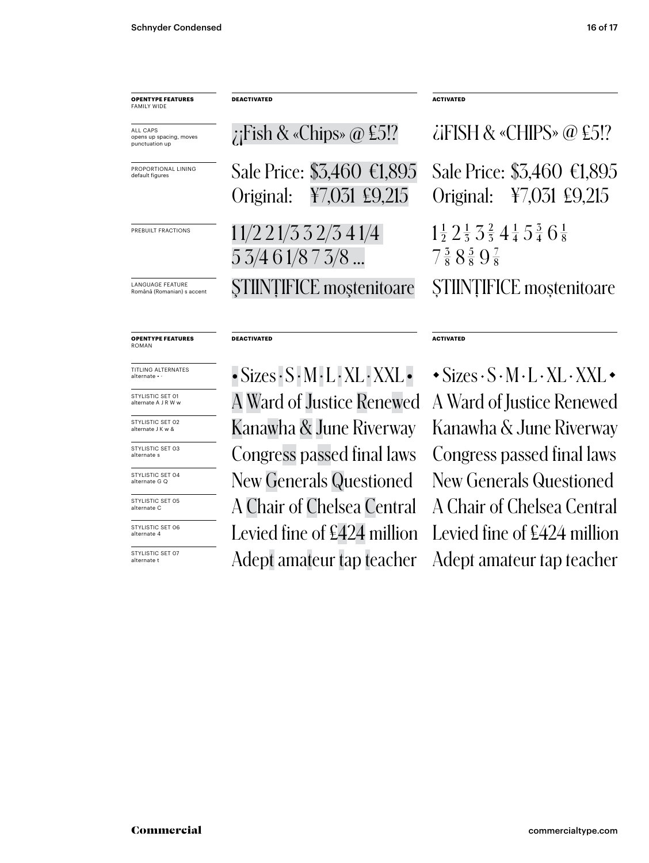| <b>OPENTYPE FEATURES</b><br>FAMILY WIDE               | <b>DEACTIVATED</b>                                                             | <b>ACTIVATED</b>                                                                                                                    |
|-------------------------------------------------------|--------------------------------------------------------------------------------|-------------------------------------------------------------------------------------------------------------------------------------|
| ALL CAPS<br>opens up spacing, moves<br>punctuation up | ; Fish & «Chips» $@$ £5!?                                                      | $\lambda$ iFISH & «CHIPS» @ £5!?                                                                                                    |
| PROPORTIONAL LINING<br>default figures                | Sale Price: \$3,460 €1,895<br>¥7,031 £9,215<br>Original:                       | Sale Price: \$3,460 €1,895<br>Original: ¥7,031 £9,215                                                                               |
| PREBUILT FRACTIONS                                    | 11/221/332/341/4<br>$5\,3/4\,6\,1/8\,7\,3/8\,$                                 | $1\frac{1}{2}$ $2\frac{1}{3}$ $3\frac{2}{3}$ $4\frac{1}{4}$ $5\frac{3}{4}$ $6\frac{1}{8}$<br>$7\frac{3}{8}8\frac{5}{8}9\frac{7}{8}$ |
| LANGUAGE FEATURE<br>Română (Romanian) s accent        | <b>STIINTIFICE</b> mostenitoare                                                | STIINTIFICE mostenitoare                                                                                                            |
| <b>OPENTYPE FEATURES</b><br>ROMAN                     | <b>DEACTIVATED</b>                                                             | <b>ACTIVATED</b>                                                                                                                    |
| TITLING ALTERNATES<br>alternate • ·                   | $\bullet$ Sizes $\cdot$ S $\cdot$ M $\cdot$ L $\cdot$ XL $\cdot$ XXL $\bullet$ | $\cdot$ Sizes $\cdot$ S $\cdot$ M $\cdot$ L $\cdot$ XL $\cdot$ XXL $\cdot$                                                          |
| STYLISTIC SET 01<br>alternate A J R W w               | A Ward of Justice Renewed                                                      | A Ward of Justice Renewed                                                                                                           |
| STYLISTIC SET 02<br>alternate J K w &                 | Kanawha & June Riverway                                                        | Kanawha & June Riverway                                                                                                             |
|                                                       |                                                                                |                                                                                                                                     |

STYLISTIC SET 03 alternate s

STYLISTIC SET 04 alternate G Q

STYLISTIC SET 05 alternate C

STYLISTIC SET 06 alternate 4

STYLISTIC SET 07 alternate t

Congress passed final laws Congress passed final laws New Generals Questioned New Generals Questioned A Chair of Chelsea Central A Chair of Chelsea Central Levied fine of £424 million Levied fine of £424 million Adept amateur tap teacher Adept amateur tap teacher